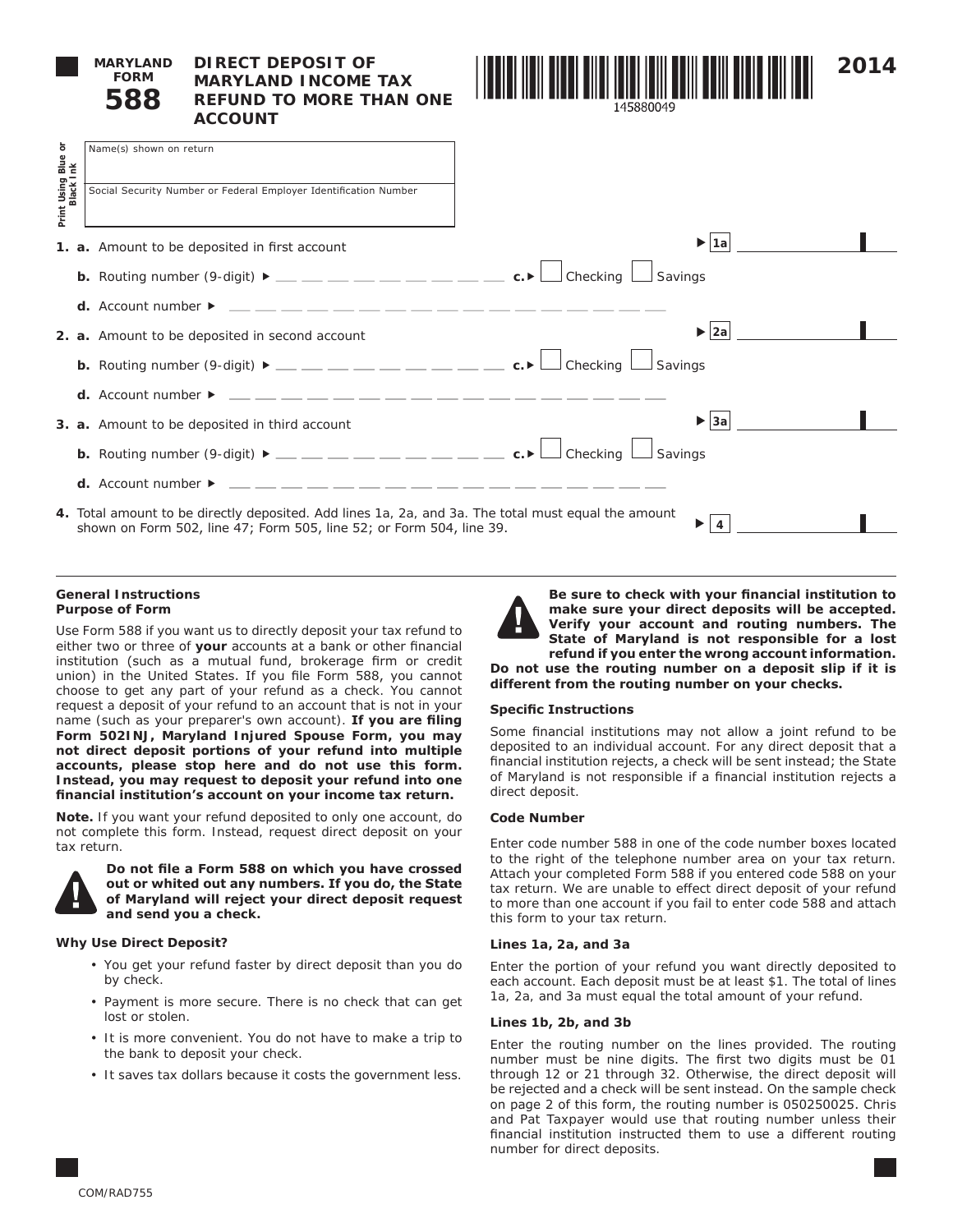

# **DIRECT DEPOSIT OF MARYLAND INCOME TAX REFUND TO MORE THAN ONE ACCOUNT**



| Print Using Blue or<br>Black Ink | Name(s) shown on return                                                                                                                                                                                                                                                   |                          |  |
|----------------------------------|---------------------------------------------------------------------------------------------------------------------------------------------------------------------------------------------------------------------------------------------------------------------------|--------------------------|--|
|                                  |                                                                                                                                                                                                                                                                           |                          |  |
|                                  | Social Security Number or Federal Employer Identification Number                                                                                                                                                                                                          |                          |  |
|                                  |                                                                                                                                                                                                                                                                           |                          |  |
|                                  |                                                                                                                                                                                                                                                                           |                          |  |
|                                  | 1. a. Amount to be deposited in first account                                                                                                                                                                                                                             | $\blacktriangleright$ 1a |  |
|                                  |                                                                                                                                                                                                                                                                           |                          |  |
|                                  | <b>b.</b> Routing number (9-digit) $\blacktriangleright$ __ _ _ _ _ _ _ _ _ _ _ _ _ _ c. $\blacktriangleright$ L Checking L Savings                                                                                                                                       |                          |  |
|                                  |                                                                                                                                                                                                                                                                           |                          |  |
|                                  | d. Account number $\triangleright$ $\_\_$ $\_\_$ $\_\_$ $\_\_$ $\_\_$ $\_\_$ $\_\_$ $\_\_$ $\_\_$ $\_\_$ $\_\_$ $\_\_$ $\_\_$ $\_\_$ $\_\_$ $\_\_$ $\_\_$ $\_\_$ $\_\_$ $\_\_$ $\_\_$ $\_\_$ $\_\_$ $\_\_$ $\_\_$ $\_\_$ $\_\_$ $\_\_$ $\_\_$ $\_\_$ $\_\_$ $\_\_$ $\_\_$ |                          |  |
|                                  | 2. a. Amount to be deposited in second account                                                                                                                                                                                                                            | 2a <br>▶                 |  |
|                                  |                                                                                                                                                                                                                                                                           |                          |  |
|                                  | <b>b.</b> Routing number (9-digit) $\blacktriangleright$ __ _ _ _ _ _ _ _ _ _ _ _ _ _ c. $\blacktriangleright$ L Checking L Savings                                                                                                                                       |                          |  |
|                                  |                                                                                                                                                                                                                                                                           |                          |  |
|                                  | <b>d.</b> Account number $\triangleright$ $\_\_$ $\_\_$ $\_\_$ $\_\_$ $\_\_$ $\_\_$ $\_\_$ $\_\_$ $\_\_$ $\_\_$ $\_\_$ $\_\_$ $\_\_$ $\_\_$ $\_\_$ $\_\_$ $\_\_$ $\_\_$ $\_\_$ $\_\_$ $\_\_$ $\_\_$ $\_\_$ $\_\_$ $\_\_$                                                  |                          |  |
|                                  | 3. a. Amount to be deposited in third account                                                                                                                                                                                                                             | 3a <br>▶                 |  |
|                                  |                                                                                                                                                                                                                                                                           |                          |  |
|                                  | <b>b.</b> Routing number (9-digit) $\blacktriangleright$ __ _ _ _ _ _ _ _ _ _ _ _ _ c. $\blacktriangleright$ L Checking $\Box$ Savings                                                                                                                                    |                          |  |
|                                  |                                                                                                                                                                                                                                                                           |                          |  |
|                                  | <b>d.</b> Account number $\triangleright$ $\_\_$ $\_\_$ $\_\_$ $\_\_$ $\_\_$ $\_\_$ $\_\_$ $\_\_$ $\_\_$ $\_\_$ $\_\_$ $\_\_$ $\_\_$ $\_\_$ $\_\_$ $\_\_$ $\_\_$ $\_\_$ $\_\_$ $\_\_$ $\_\_$ $\_\_$ $\_\_$ $\_\_$                                                         |                          |  |
|                                  | 4. Total amount to be directly deposited. Add lines 1a, 2a, and 3a. The total must equal the amount                                                                                                                                                                       |                          |  |
|                                  | shown on Form 502, line 47; Form 505, line 52; or Form 504, line 39.                                                                                                                                                                                                      | ▶<br>4                   |  |
|                                  |                                                                                                                                                                                                                                                                           |                          |  |

#### **General Instructions Purpose of Form**

Use Form 588 if you want us to directly deposit your tax refund to either two or three of **your** accounts at a bank or other financial institution (such as a mutual fund, brokerage firm or credit union) in the United States. If you file Form 588, you cannot choose to get any part of your refund as a check. You cannot request a deposit of your refund to an account that is not in your name (such as your preparer's own account). **If you are filing Form 502INJ, Maryland Injured Spouse Form, you may not direct deposit portions of your refund into multiple accounts, please stop here and do not use this form. Instead, you may request to deposit your refund into one financial institution's account on your income tax return.**

**Note.** If you want your refund deposited to only one account, do not complete this form. Instead, request direct deposit on your tax return.



**Do not file a Form 588 on which you have crossed out or whited out any numbers. If you do, the State of Maryland will reject your direct deposit request and send you a check.** 

# **Why Use Direct Deposit?**

- You get your refund faster by direct deposit than you do by check.
- Payment is more secure. There is no check that can get lost or stolen.
- It is more convenient. You do not have to make a trip to the bank to deposit your check.
- It saves tax dollars because it costs the government less.



**Be sure to check with your financial institution to make sure your direct deposits will be accepted. Verify your account and routing numbers. The State of Maryland is not responsible for a lost refund if you enter the wrong account information. Do not use the routing number on a deposit slip if it is** 

**different from the routing number on your checks.**

# **Specific Instructions**

Some financial institutions may not allow a joint refund to be deposited to an individual account. For any direct deposit that a financial institution rejects, a check will be sent instead; the State of Maryland is not responsible if a financial institution rejects a direct deposit.

# **Code Number**

Enter code number 588 in one of the code number boxes located to the right of the telephone number area on your tax return. Attach your completed Form 588 if you entered code 588 on your tax return. We are unable to effect direct deposit of your refund to more than one account if you fail to enter code 588 and attach this form to your tax return.

### **Lines 1a, 2a, and 3a**

Enter the portion of your refund you want directly deposited to each account. Each deposit must be at least \$1. The total of lines 1a, 2a, and 3a must equal the total amount of your refund.

### **Lines 1b, 2b, and 3b**

Enter the routing number on the lines provided. The routing number must be nine digits. The first two digits must be 01 through 12 or 21 through 32. Otherwise, the direct deposit will be rejected and a check will be sent instead. On the sample check on page 2 of this form, the routing number is 050250025. Chris and Pat Taxpayer would use that routing number unless their financial institution instructed them to use a different routing number for direct deposits.